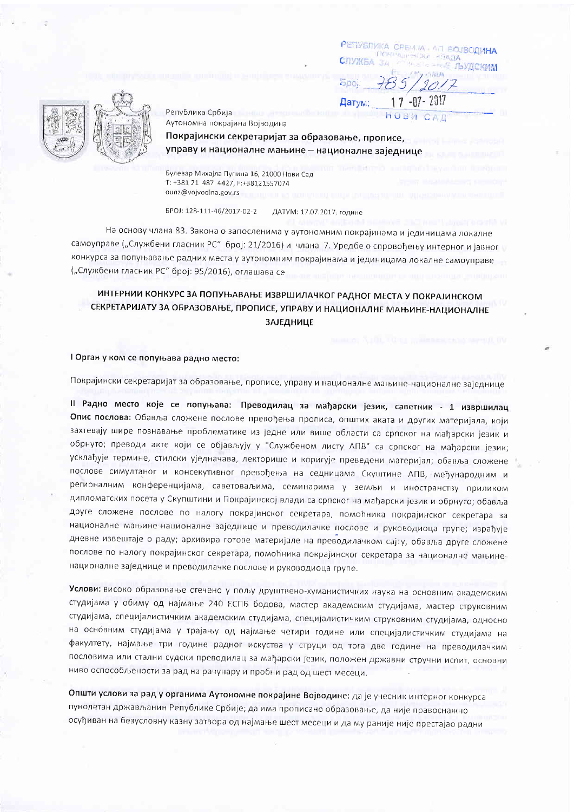РЕПУБЛИКА СРЕМЈА - АЛ ВОЈВОДИНА **BUILDING REP**  $-79/14$ **CITYMER** - Е ЛЬУДСКИМ

**Spoi** Датум:

HORP



Република Србија Аутономна покрајина Војводина

Покрајински секретаријат за образовање, прописе, управу и националне мањине - националне заједнице

Булевар Михајла Пупина 16, 21000 Нови Сад T: +381 21 487 4427, F:+38121557074 ounz@vojvodina.gov.rs

EPOJ: 128-111-46/2017-02-2 ДАТУМ: 17.07.2017, године

На основу члана 83. Закона о запосленима у аутономним покрајинама и јединицама локалне самоуправе ("Службени гласник РС" број: 21/2016) и члана 7. Уредбе о спровођењу интерног и јавног конкурса за попуњавање радних места у аутономним покрајинама и јединицама локалне самоуправе ("Службени гласник РС" број: 95/2016), оглашава се

# ИНТЕРНИИ КОНКУРС ЗА ПОПУЊАВАЊЕ ИЗВРШИЛАЧКОГ РАДНОГ МЕСТА У ПОКРАЈИНСКОМ СЕКРЕТАРИЈАТУ ЗА ОБРАЗОВАЊЕ, ПРОПИСЕ, УПРАВУ И НАЦИОНАЛНЕ МАЊИНЕ-НАЦИОНАЛНЕ **ЗАЈЕДНИЦЕ**

## I Орган у ком се попуњава радно место:

Покрајински секретаријат за образовање, прописе, управу и националне мањине-националне заједнице

II Радно место које се попуњава: Преводилац за мађарски језик, саветник - 1 извршилац Опис послова: Обавља сложене послове превођења прописа, општих аката и других материјала, који захтевају шире познавање проблематике из једне или више области са српског на мађарски језик и обрнуто; преводи акте који се објављују у "Службеном листу АПВ" са српског на мађарски језик; усклађује термине, стилски уједначава, лекторише и коригује преведени материјал; обавља сложене послове симултаног и консекутивног превођења на седницама Скуштине АПВ, међународним и регионалним конференцијама, саветоваљима, семинарима у земљи и иностранству приликом дипломатских посета у Скупштини и Покрајинској влади са српског на мађарски језик и обрнуто; обавља друге сложене послове по налогу покрајинског секретара, помоћника покрајинског секретара за националне мањине-националне заједнице и преводилачке послове и руководиоца групе; израђује дневне извештаје о раду; архивира готове материјале на преводилачком сајту, обавља друге сложене послове по налогу покрајинског секретара, помоћника покрајинског секретара за националне мањиненационалне заједнице и преводилачке послове и руководиоца групе.

Услови: високо образовање стечено у пољу друштвено-хуманистичких наука на основним академским студијама у обиму од најмање 240 ЕСПБ бодова, мастер академским студијама, мастер струковним студијама, специјалистичким академским студијама, специјалистичким струковним студијама, односно на основним студијама у трајању од најмање четири године или специјалистичким студијама на факултету, најмање три године радног искуства у струци од тога две године на преводилачким пословима или стални судски преводилац за мађарски језик, положен државни стручни испит, основни ниво оспособљености за рад на рачунару и пробни рад од шест месеци.

Општи услови за рад у органима Аутономне покрајине Војводине: да је учесник интерног конкурса пунолетан држављанин Републике Србије; да има прописано образовање, да није правоснажно осуђиван на безусловну казну затвора од најмање шест месеци и да му раније није престајао радни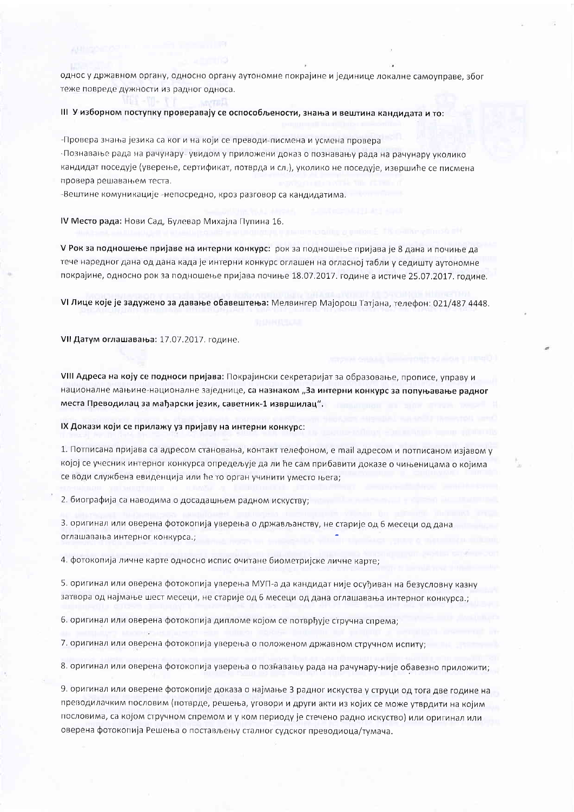однос у државном органу, односно органу аутономне покрајине и јединице локалне самоуправе, због теже повреде дужности из радног односа.

III У изборном поступку проверавају се оспособљености, знања и вештина кандидата и то:

-Провера знања језика са ког и на који се преводи-писмена и усмена провера

-Познавање рада на рачунару-увидом у приложени доказ о познавању рада на рачунару уколико кандидат поседује (уверење, сертификат, потврда и сл.), уколико не поседује, извршиће се писмена провера решавањем теста.

-Вештине комуникације -непосредно, кроз разговор са кандидатима.

IV Место рада: Нови Сад, Булевар Михајла Пупина 16.

V Рок за подношење пријаве на интерни конкурс: рок за подношење пријава је 8 дана и почиње да тече наредног дана од дана када је интерни конкурс оглашен на огласној табли у седишту аутономне

VI Лице које је задужено за давање обавештења: Мелвингер Мајорош Татјана, телефон: 021/487 4448.

покрајине, односно рок за подношење пријава почиње 18.07.2017. године а истиче 25.07.2017. године.

VII Датум оглашавања: 17.07.2017. године.

VIII Адреса на коју се подноси пријава: Покрајински секретаријат за образовање, прописе, управу и националне мањине-националне заједнице, са назнаком "За интерни конкурс за попуњавање радног места Преводилац за мађарски језик, саветник-1 извршилац".

IX Докази који се прилажу уз пријаву на интерни конкурс:

1. Потписана пријава са адресом становања, контакт телефоном, е mail адресом и потписаном изјавом у којој се учесник интерног конкурса опредељује да ли ће сам прибавити доказе о чињеницама о којима се води службена евиденција или ће то орган учинити уместо њега;

2. биографија са наводима о досадашњем радном искуству;

3. оригинал или оверена фотокопија уверења о држављанству, не старије од 6 месеци од дана оглашавања интерног конкурса.;

4. фотокопија личне карте односно испис очитане биометријске личне карте;

5. оригинал или оверена фотокопија уверења МУП-а да кандидат није осуђиван на безусловну казну затвора од најмање шест месеци, не старије од 6 месеци од дана оглашавања интерног конкурса.;

6. оригинал или оверена фотокопија дипломе којом се потврђује стручна спрема;

7. оригинал или оверена фотокопија уверења о положеном државном стручном испиту;

8. оригинал или оверена фотокопија уверења о познавању рада на рачунару-није обавезно приложити;

9. оригинал или оверене фотокопије доказа о најмање 3 радног искуства у струци од тога две године на преводилачким пословим (потврде, решења, уговори и други акти из којих се може утврдити на којим пословима, са којом стручном спремом и у ком периоду је стечено радно искуство) или оригинал или оверена фотокопија Решења о постављењу сталног судског преводиоца/тумача.